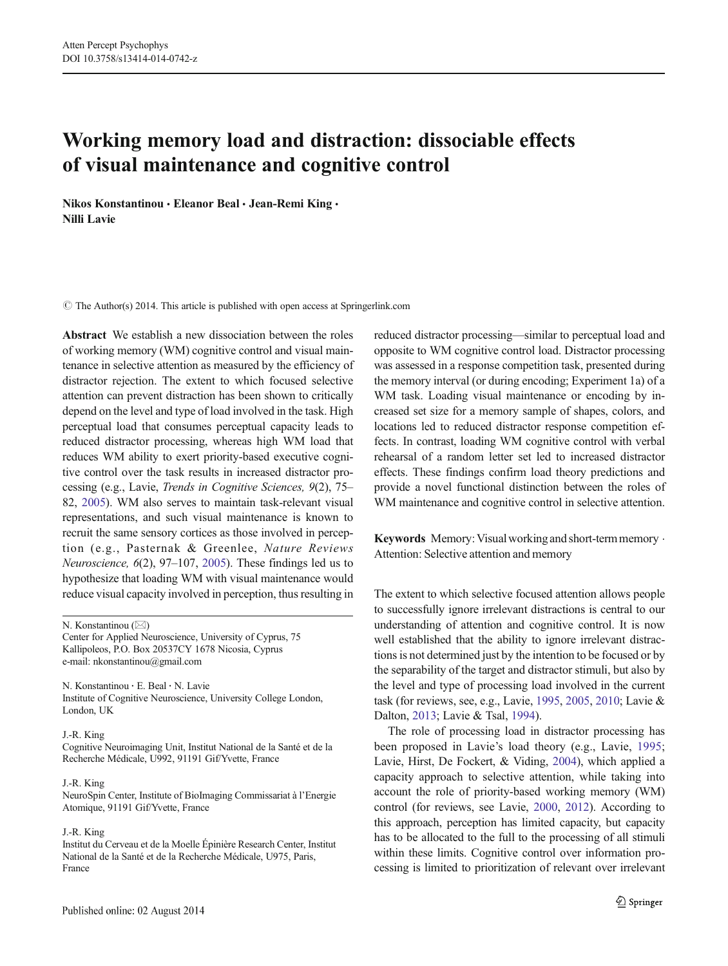# Working memory load and distraction: dissociable effects of visual maintenance and cognitive control

Nikos Konstantinou · Eleanor Beal · Jean-Remi King · Nilli Lavie

 $\odot$  The Author(s) 2014. This article is published with open access at Springerlink.com

Abstract We establish a new dissociation between the roles of working memory (WM) cognitive control and visual maintenance in selective attention as measured by the efficiency of distractor rejection. The extent to which focused selective attention can prevent distraction has been shown to critically depend on the level and type of load involved in the task. High perceptual load that consumes perceptual capacity leads to reduced distractor processing, whereas high WM load that reduces WM ability to exert priority-based executive cognitive control over the task results in increased distractor processing (e.g., Lavie, Trends in Cognitive Sciences, 9(2), 75– 82, [2005](#page-11-0)). WM also serves to maintain task-relevant visual representations, and such visual maintenance is known to recruit the same sensory cortices as those involved in perception (e.g., Pasternak & Greenlee, Nature Reviews Neuroscience, 6(2), 97–107, [2005](#page-11-0)). These findings led us to hypothesize that loading WM with visual maintenance would reduce visual capacity involved in perception, thus resulting in

Center for Applied Neuroscience, University of Cyprus, 75 Kallipoleos, P.O. Box 20537CY 1678 Nicosia, Cyprus e-mail: nkonstantinou@gmail.com

N. Konstantinou : E. Beal : N. Lavie Institute of Cognitive Neuroscience, University College London, London, UK

## J.<R. King

Cognitive Neuroimaging Unit, Institut National de la Santé et de la Recherche Médicale, U992, 91191 Gif/Yvette, France

#### J.<R. King

NeuroSpin Center, Institute of BioImaging Commissariat à l'Energie Atomique, 91191 Gif/Yvette, France

## J.<R. King

Institut du Cerveau et de la Moelle Épinière Research Center, Institut National de la Santé et de la Recherche Médicale, U975, Paris, France

reduced distractor processing—similar to perceptual load and opposite to WM cognitive control load. Distractor processing was assessed in a response competition task, presented during the memory interval (or during encoding; Experiment 1a) of a WM task. Loading visual maintenance or encoding by increased set size for a memory sample of shapes, colors, and locations led to reduced distractor response competition effects. In contrast, loading WM cognitive control with verbal rehearsal of a random letter set led to increased distractor effects. These findings confirm load theory predictions and provide a novel functional distinction between the roles of WM maintenance and cognitive control in selective attention.

Keywords Memory: Visual working and short-term memory . Attention: Selective attention and memory

The extent to which selective focused attention allows people to successfully ignore irrelevant distractions is central to our understanding of attention and cognitive control. It is now well established that the ability to ignore irrelevant distractions is not determined just by the intention to be focused or by the separability of the target and distractor stimuli, but also by the level and type of processing load involved in the current task (for reviews, see, e.g., Lavie, [1995](#page-11-0), [2005,](#page-11-0) [2010](#page-11-0); Lavie & Dalton, [2013](#page-11-0); Lavie & Tsal, [1994\)](#page-11-0).

The role of processing load in distractor processing has been proposed in Lavie's load theory (e.g., Lavie, [1995;](#page-11-0) Lavie, Hirst, De Fockert, & Viding, [2004\)](#page-11-0), which applied a capacity approach to selective attention, while taking into account the role of priority-based working memory (WM) control (for reviews, see Lavie, [2000](#page-11-0), [2012](#page-11-0)). According to this approach, perception has limited capacity, but capacity has to be allocated to the full to the processing of all stimuli within these limits. Cognitive control over information processing is limited to prioritization of relevant over irrelevant

N. Konstantinou ( $\boxtimes$ )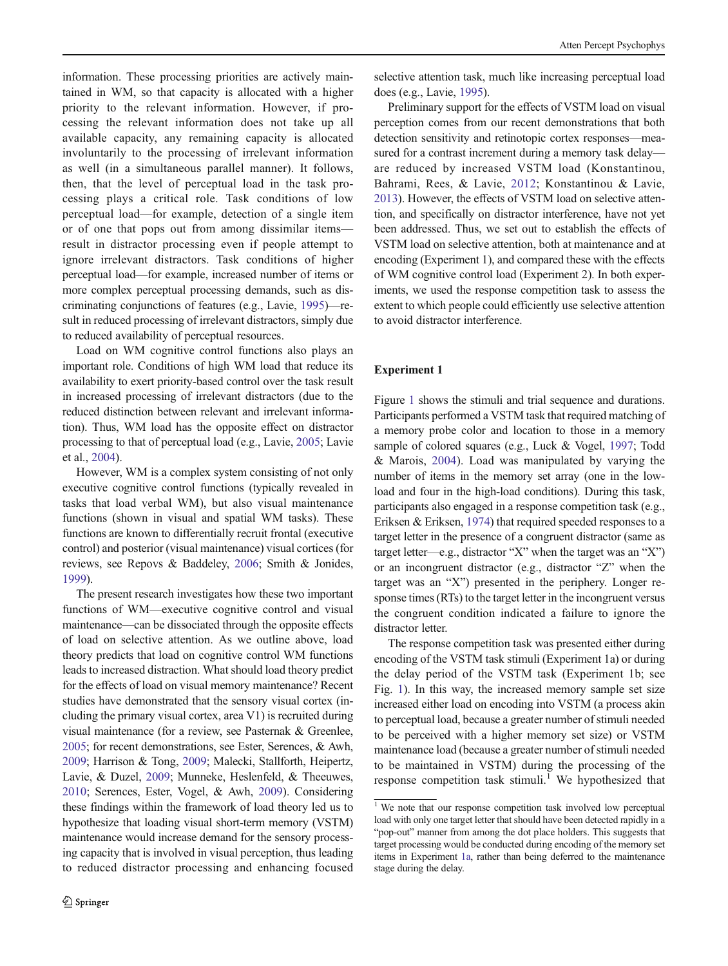<span id="page-1-0"></span>information. These processing priorities are actively maintained in WM, so that capacity is allocated with a higher priority to the relevant information. However, if processing the relevant information does not take up all available capacity, any remaining capacity is allocated involuntarily to the processing of irrelevant information as well (in a simultaneous parallel manner). It follows, then, that the level of perceptual load in the task processing plays a critical role. Task conditions of low perceptual load—for example, detection of a single item or of one that pops out from among dissimilar items result in distractor processing even if people attempt to ignore irrelevant distractors. Task conditions of higher perceptual load—for example, increased number of items or more complex perceptual processing demands, such as discriminating conjunctions of features (e.g., Lavie, [1995](#page-11-0))—result in reduced processing of irrelevant distractors, simply due to reduced availability of perceptual resources.

Load on WM cognitive control functions also plays an important role. Conditions of high WM load that reduce its availability to exert priority-based control over the task result in increased processing of irrelevant distractors (due to the reduced distinction between relevant and irrelevant information). Thus, WM load has the opposite effect on distractor processing to that of perceptual load (e.g., Lavie, [2005](#page-11-0); Lavie et al., [2004\)](#page-11-0).

However, WM is a complex system consisting of not only executive cognitive control functions (typically revealed in tasks that load verbal WM), but also visual maintenance functions (shown in visual and spatial WM tasks). These functions are known to differentially recruit frontal (executive control) and posterior (visual maintenance) visual cortices (for reviews, see Repovs & Baddeley, [2006;](#page-11-0) Smith & Jonides, [1999\)](#page-12-0).

The present research investigates how these two important functions of WM—executive cognitive control and visual maintenance—can be dissociated through the opposite effects of load on selective attention. As we outline above, load theory predicts that load on cognitive control WM functions leads to increased distraction. What should load theory predict for the effects of load on visual memory maintenance? Recent studies have demonstrated that the sensory visual cortex (including the primary visual cortex, area V1) is recruited during visual maintenance (for a review, see Pasternak & Greenlee, [2005;](#page-11-0) for recent demonstrations, see Ester, Serences, & Awh, [2009;](#page-11-0) Harrison & Tong, [2009](#page-11-0); Malecki, Stallforth, Heipertz, Lavie, & Duzel, [2009](#page-11-0); Munneke, Heslenfeld, & Theeuwes, [2010;](#page-11-0) Serences, Ester, Vogel, & Awh, [2009](#page-12-0)). Considering these findings within the framework of load theory led us to hypothesize that loading visual short-term memory (VSTM) maintenance would increase demand for the sensory processing capacity that is involved in visual perception, thus leading to reduced distractor processing and enhancing focused

selective attention task, much like increasing perceptual load does (e.g., Lavie, [1995](#page-11-0)).

Preliminary support for the effects of VSTM load on visual perception comes from our recent demonstrations that both detection sensitivity and retinotopic cortex responses—measured for a contrast increment during a memory task delay are reduced by increased VSTM load (Konstantinou, Bahrami, Rees, & Lavie, [2012;](#page-11-0) Konstantinou & Lavie, [2013\)](#page-11-0). However, the effects of VSTM load on selective attention, and specifically on distractor interference, have not yet been addressed. Thus, we set out to establish the effects of VSTM load on selective attention, both at maintenance and at encoding (Experiment 1), and compared these with the effects of WM cognitive control load (Experiment 2). In both experiments, we used the response competition task to assess the extent to which people could efficiently use selective attention to avoid distractor interference.

## Experiment 1

Figure [1](#page-2-0) shows the stimuli and trial sequence and durations. Participants performed a VSTM task that required matching of a memory probe color and location to those in a memory sample of colored squares (e.g., Luck & Vogel, [1997](#page-11-0); Todd & Marois, [2004\)](#page-12-0). Load was manipulated by varying the number of items in the memory set array (one in the lowload and four in the high-load conditions). During this task, participants also engaged in a response competition task (e.g., Eriksen & Eriksen, [1974](#page-11-0)) that required speeded responses to a target letter in the presence of a congruent distractor (same as target letter—e.g., distractor "X" when the target was an "X") or an incongruent distractor (e.g., distractor "Z" when the target was an "X") presented in the periphery. Longer response times (RTs) to the target letter in the incongruent versus the congruent condition indicated a failure to ignore the distractor letter.

The response competition task was presented either during encoding of the VSTM task stimuli (Experiment 1a) or during the delay period of the VSTM task (Experiment 1b; see Fig. [1](#page-2-0)). In this way, the increased memory sample set size increased either load on encoding into VSTM (a process akin to perceptual load, because a greater number of stimuli needed to be perceived with a higher memory set size) or VSTM maintenance load (because a greater number of stimuli needed to be maintained in VSTM) during the processing of the response competition task stimuli.<sup>1</sup> We hypothesized that

 $1$  We note that our response competition task involved low perceptual load with only one target letter that should have been detected rapidly in a "pop-out" manner from among the dot place holders. This suggests that target processing would be conducted during encoding of the memory set items in Experiment [1a](#page-2-0), rather than being deferred to the maintenance stage during the delay.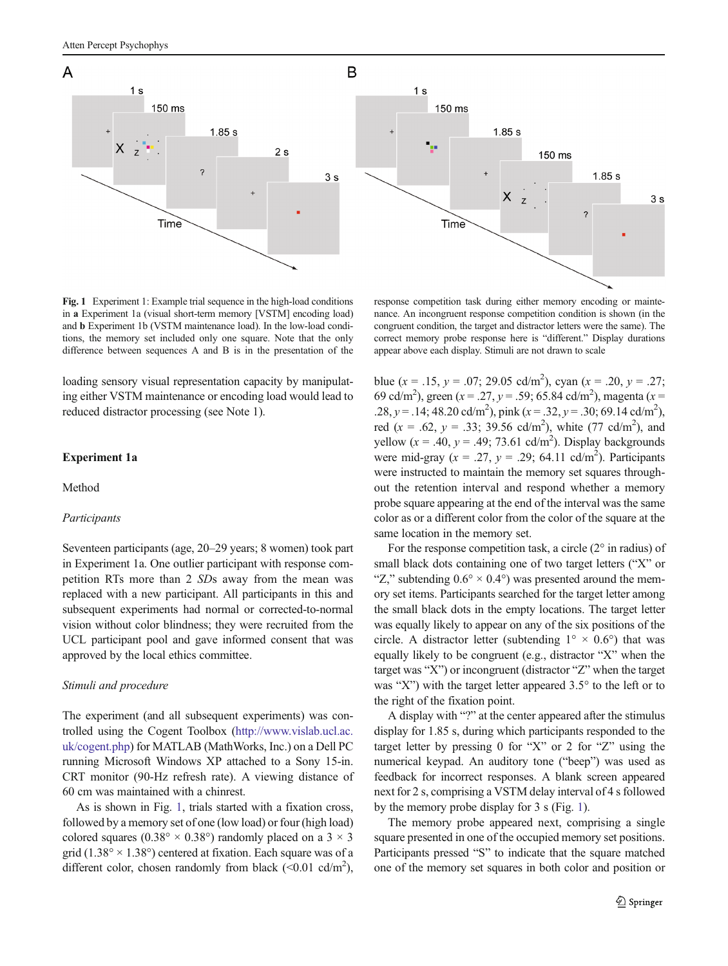<span id="page-2-0"></span>

Fig. 1 Experiment 1: Example trial sequence in the high-load conditions in a Experiment 1a (visual short-term memory [VSTM] encoding load) and b Experiment 1b (VSTM maintenance load). In the low-load conditions, the memory set included only one square. Note that the only difference between sequences A and B is in the presentation of the

loading sensory visual representation capacity by manipulating either VSTM maintenance or encoding load would lead to reduced distractor processing (see Note 1).

## Experiment 1a

Method

## Participants

Seventeen participants (age, 20–29 years; 8 women) took part in Experiment 1a. One outlier participant with response competition RTs more than 2 SDs away from the mean was replaced with a new participant. All participants in this and subsequent experiments had normal or corrected-to-normal vision without color blindness; they were recruited from the UCL participant pool and gave informed consent that was approved by the local ethics committee.

## Stimuli and procedure

The experiment (and all subsequent experiments) was controlled using the Cogent Toolbox ([http://www.vislab.ucl.ac.](http://www.vislab.ucl.ac.uk/cogent.php) [uk/cogent.php](http://www.vislab.ucl.ac.uk/cogent.php)) for MATLAB (MathWorks, Inc.) on a Dell PC running Microsoft Windows XP attached to a Sony 15-in. CRT monitor (90-Hz refresh rate). A viewing distance of 60 cm was maintained with a chinrest.

As is shown in Fig. 1, trials started with a fixation cross, followed by a memory set of one (low load) or four (high load) colored squares ( $0.38^{\circ} \times 0.38^{\circ}$ ) randomly placed on a  $3 \times 3$ grid (1.38 $\degree$  × 1.38 $\degree$ ) centered at fixation. Each square was of a different color, chosen randomly from black  $(<0.01$  cd/m<sup>2</sup>),

response competition task during either memory encoding or maintenance. An incongruent response competition condition is shown (in the congruent condition, the target and distractor letters were the same). The correct memory probe response here is "different." Display durations appear above each display. Stimuli are not drawn to scale

blue (x = .15, y = .07; 29.05 cd/m<sup>2</sup>), cyan (x = .20, y = .27; 69 cd/m<sup>2</sup>), green (x = .27, y = .59; 65.84 cd/m<sup>2</sup>), magenta (x = .28,  $y = .14$ ; 48.20 cd/m<sup>2</sup>), pink ( $x = .32$ ,  $y = .30$ ; 69.14 cd/m<sup>2</sup>), red  $(x = .62, y = .33; 39.56 \text{ cd/m}^2)$ , white  $(77 \text{ cd/m}^2)$ , and yellow ( $x = .40$ ,  $y = .49$ ; 73.61 cd/m<sup>2</sup>). Display backgrounds were mid-gray ( $x = .27$ ,  $y = .29$ ; 64.11 cd/m<sup>2</sup>). Participants were instructed to maintain the memory set squares throughout the retention interval and respond whether a memory probe square appearing at the end of the interval was the same color as or a different color from the color of the square at the same location in the memory set.

For the response competition task, a circle  $(2^{\circ}$  in radius) of small black dots containing one of two target letters ("X" or "Z," subtending  $0.6^{\circ} \times 0.4^{\circ}$  was presented around the memory set items. Participants searched for the target letter among the small black dots in the empty locations. The target letter was equally likely to appear on any of the six positions of the circle. A distractor letter (subtending  $1^\circ \times 0.6^\circ$ ) that was equally likely to be congruent (e.g., distractor "X" when the target was "X") or incongruent (distractor "Z" when the target was "X") with the target letter appeared 3.5° to the left or to the right of the fixation point.

A display with "?" at the center appeared after the stimulus display for 1.85 s, during which participants responded to the target letter by pressing 0 for "X" or 2 for "Z" using the numerical keypad. An auditory tone ("beep") was used as feedback for incorrect responses. A blank screen appeared next for 2 s, comprising a VSTM delay interval of 4 s followed by the memory probe display for 3 s (Fig. 1).

The memory probe appeared next, comprising a single square presented in one of the occupied memory set positions. Participants pressed "S" to indicate that the square matched one of the memory set squares in both color and position or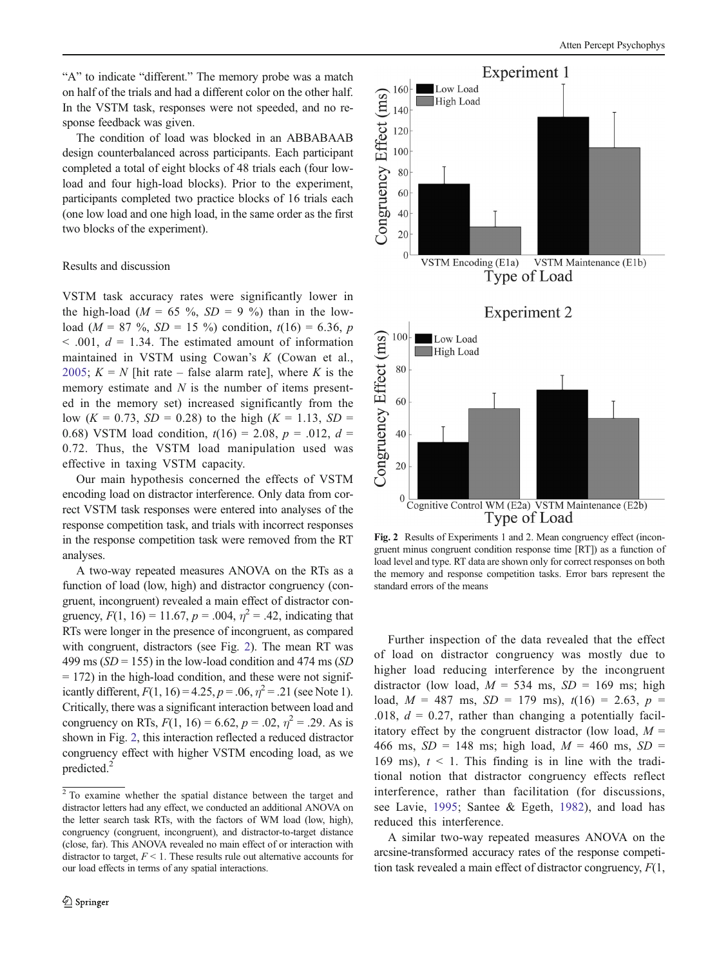<span id="page-3-0"></span>"A" to indicate "different." The memory probe was a match on half of the trials and had a different color on the other half. In the VSTM task, responses were not speeded, and no response feedback was given.

The condition of load was blocked in an ABBABAAB design counterbalanced across participants. Each participant completed a total of eight blocks of 48 trials each (four lowload and four high-load blocks). Prior to the experiment, participants completed two practice blocks of 16 trials each (one low load and one high load, in the same order as the first two blocks of the experiment).

## Results and discussion

VSTM task accuracy rates were significantly lower in the high-load ( $M = 65$  %,  $SD = 9$  %) than in the lowload ( $M = 87$  %,  $SD = 15$  %) condition,  $t(16) = 6.36$ , p  $\leq$  .001,  $d = 1.34$ . The estimated amount of information maintained in VSTM using Cowan's K (Cowan et al., [2005](#page-11-0);  $K = N$  [hit rate – false alarm rate], where K is the memory estimate and N is the number of items presented in the memory set) increased significantly from the low  $(K = 0.73, SD = 0.28)$  to the high  $(K = 1.13, SD = 1.13)$ 0.68) VSTM load condition,  $t(16) = 2.08$ ,  $p = .012$ ,  $d =$ 0.72. Thus, the VSTM load manipulation used was effective in taxing VSTM capacity.

Our main hypothesis concerned the effects of VSTM encoding load on distractor interference. Only data from correct VSTM task responses were entered into analyses of the response competition task, and trials with incorrect responses in the response competition task were removed from the RT analyses.

A two-way repeated measures ANOVA on the RTs as a function of load (low, high) and distractor congruency (congruent, incongruent) revealed a main effect of distractor congruency,  $F(1, 16) = 11.67$ ,  $p = .004$ ,  $\eta^2 = .42$ , indicating that RTs were longer in the presence of incongruent, as compared with congruent, distractors (see Fig. 2). The mean RT was 499 ms  $(SD = 155)$  in the low-load condition and 474 ms  $(SD)$  $= 172$ ) in the high-load condition, and these were not significantly different,  $F(1, 16) = 4.25$ ,  $p = .06$ ,  $\eta^2 = .21$  (see Note 1). Critically, there was a significant interaction between load and congruency on RTs,  $F(1, 16) = 6.62$ ,  $p = .02$ ,  $\eta^2 = .29$ . As is shown in Fig. 2, this interaction reflected a reduced distractor congruency effect with higher VSTM encoding load, as we predicted.<sup>2</sup>



Fig. 2 Results of Experiments 1 and 2. Mean congruency effect (incongruent minus congruent condition response time [RT]) as a function of load level and type. RT data are shown only for correct responses on both the memory and response competition tasks. Error bars represent the standard errors of the means

Further inspection of the data revealed that the effect of load on distractor congruency was mostly due to higher load reducing interference by the incongruent distractor (low load,  $M = 534$  ms,  $SD = 169$  ms; high load,  $M = 487$  ms,  $SD = 179$  ms),  $t(16) = 2.63$ ,  $p =$ .018,  $d = 0.27$ , rather than changing a potentially facilitatory effect by the congruent distractor (low load,  $M =$ 466 ms,  $SD = 148$  ms; high load,  $M = 460$  ms,  $SD =$ 169 ms),  $t < 1$ . This finding is in line with the traditional notion that distractor congruency effects reflect interference, rather than facilitation (for discussions, see Lavie, [1995;](#page-11-0) Santee & Egeth, [1982](#page-12-0)), and load has reduced this interference.

A similar two-way repeated measures ANOVA on the arcsine-transformed accuracy rates of the response competition task revealed a main effect of distractor congruency, F(1,

<sup>2</sup> To examine whether the spatial distance between the target and distractor letters had any effect, we conducted an additional ANOVA on the letter search task RTs, with the factors of WM load (low, high), congruency (congruent, incongruent), and distractor-to-target distance (close, far). This ANOVA revealed no main effect of or interaction with distractor to target,  $F \leq 1$ . These results rule out alternative accounts for our load effects in terms of any spatial interactions.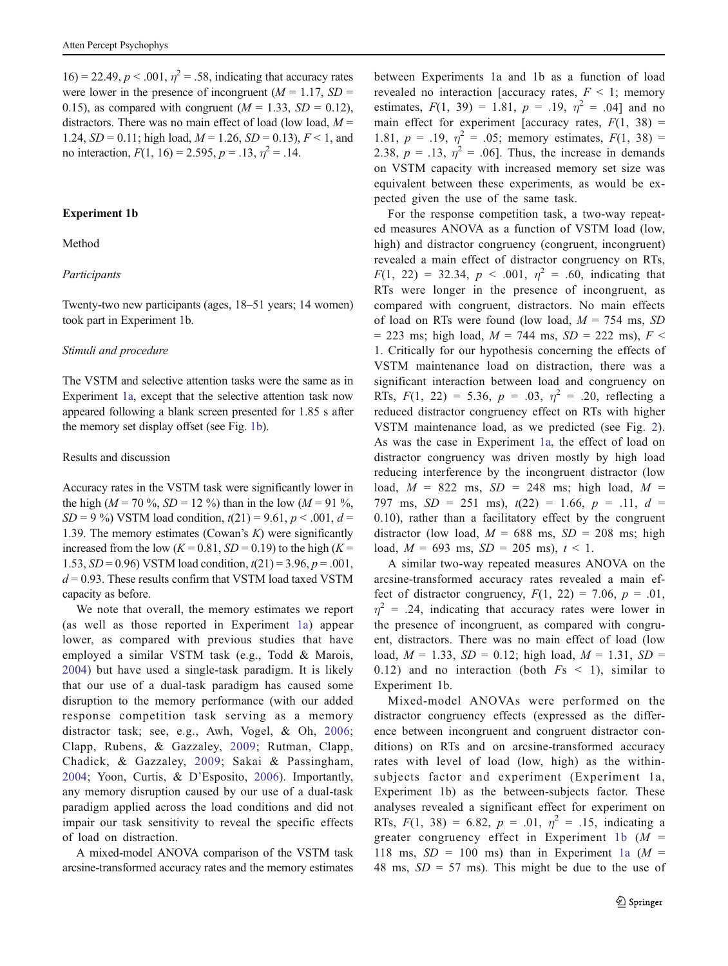<span id="page-4-0"></span> $16 = 22.49, p < .001, n^2 = .58$ , indicating that accuracy rates were lower in the presence of incongruent ( $M = 1.17$ ,  $SD =$ 0.15), as compared with congruent  $(M = 1.33, SD = 0.12)$ , distractors. There was no main effect of load (low load,  $M =$ 1.24,  $SD = 0.11$ ; high load,  $M = 1.26$ ,  $SD = 0.13$ ),  $F < 1$ , and no interaction,  $F(1, 16) = 2.595$ ,  $p = .13$ ,  $\eta^2 = .14$ .

## Experiment 1b

Method

## Participants

Twenty-two new participants (ages, 18–51 years; 14 women) took part in Experiment 1b.

#### Stimuli and procedure

The VSTM and selective attention tasks were the same as in Experiment [1a](#page-2-0), except that the selective attention task now appeared following a blank screen presented for 1.85 s after the memory set display offset (see Fig. [1b\)](#page-2-0).

## Results and discussion

Accuracy rates in the VSTM task were significantly lower in the high ( $M = 70\%$ ,  $SD = 12\%$ ) than in the low ( $M = 91\%$ ,  $SD = 9\%$ ) VSTM load condition,  $t(21) = 9.61$ ,  $p < .001$ ,  $d =$ 1.39. The memory estimates (Cowan's  $K$ ) were significantly increased from the low ( $K = 0.81$ ,  $SD = 0.19$ ) to the high ( $K =$ 1.53,  $SD = 0.96$ ) VSTM load condition,  $t(21) = 3.96$ ,  $p = .001$ ,  $d = 0.93$ . These results confirm that VSTM load taxed VSTM capacity as before.

We note that overall, the memory estimates we report (as well as those reported in Experiment [1a\)](#page-2-0) appear lower, as compared with previous studies that have employed a similar VSTM task (e.g., Todd & Marois, [2004](#page-12-0)) but have used a single-task paradigm. It is likely that our use of a dual-task paradigm has caused some disruption to the memory performance (with our added response competition task serving as a memory distractor task; see, e.g., Awh, Vogel, & Oh, [2006](#page-10-0); Clapp, Rubens, & Gazzaley, [2009;](#page-11-0) Rutman, Clapp, Chadick, & Gazzaley, [2009;](#page-12-0) Sakai & Passingham, [2004](#page-12-0); Yoon, Curtis, & D'Esposito, [2006](#page-12-0)). Importantly, any memory disruption caused by our use of a dual-task paradigm applied across the load conditions and did not impair our task sensitivity to reveal the specific effects of load on distraction.

A mixed-model ANOVA comparison of the VSTM task arcsine-transformed accuracy rates and the memory estimates

between Experiments 1a and 1b as a function of load revealed no interaction [accuracy rates,  $F < 1$ ; memory estimates,  $F(1, 39) = 1.81$ ,  $p = .19$ ,  $\eta^2 = .04$  and no main effect for experiment [accuracy rates,  $F(1, 38) =$ 1.81,  $p = .19$ ,  $\eta^2 = .05$ ; memory estimates,  $F(1, 38) =$ 2.38,  $p = .13$ ,  $\eta^2 = .06$ . Thus, the increase in demands on VSTM capacity with increased memory set size was equivalent between these experiments, as would be expected given the use of the same task.

For the response competition task, a two-way repeated measures ANOVA as a function of VSTM load (low, high) and distractor congruency (congruent, incongruent) revealed a main effect of distractor congruency on RTs,  $F(1, 22) = 32.34, p < .001, \eta^2 = .60$ , indicating that RTs were longer in the presence of incongruent, as compared with congruent, distractors. No main effects of load on RTs were found (low load,  $M = 754$  ms, SD = 223 ms; high load,  $M = 744$  ms,  $SD = 222$  ms),  $F <$ 1. Critically for our hypothesis concerning the effects of VSTM maintenance load on distraction, there was a significant interaction between load and congruency on RTs,  $F(1, 22) = 5.36$ ,  $p = .03$ ,  $\eta^2 = .20$ , reflecting a reduced distractor congruency effect on RTs with higher VSTM maintenance load, as we predicted (see Fig. [2](#page-3-0)). As was the case in Experiment [1a,](#page-2-0) the effect of load on distractor congruency was driven mostly by high load reducing interference by the incongruent distractor (low load,  $M = 822$  ms,  $SD = 248$  ms; high load,  $M =$ 797 ms,  $SD = 251$  ms),  $t(22) = 1.66$ ,  $p = .11$ ,  $d =$ 0.10), rather than a facilitatory effect by the congruent distractor (low load,  $M = 688$  ms,  $SD = 208$  ms; high load,  $M = 693$  ms,  $SD = 205$  ms),  $t < 1$ .

A similar two-way repeated measures ANOVA on the arcsine-transformed accuracy rates revealed a main effect of distractor congruency,  $F(1, 22) = 7.06$ ,  $p = .01$ ,  $\eta^2$  = .24, indicating that accuracy rates were lower in the presence of incongruent, as compared with congruent, distractors. There was no main effect of load (low load,  $M = 1.33$ ,  $SD = 0.12$ ; high load,  $M = 1.31$ ,  $SD =$ 0.12) and no interaction (both  $Fs \leq 1$ ), similar to Experiment 1b.

Mixed-model ANOVAs were performed on the distractor congruency effects (expressed as the difference between incongruent and congruent distractor conditions) on RTs and on arcsine-transformed accuracy rates with level of load (low, high) as the withinsubjects factor and experiment (Experiment 1a, Experiment 1b) as the between-subjects factor. These analyses revealed a significant effect for experiment on RTs,  $F(1, 38) = 6.82$ ,  $p = .01$ ,  $\eta^2 = .15$ , indicating a greater congruency effect in Experiment 1b  $(M =$ 118 ms,  $SD = 100$  ms) than in Experiment [1a](#page-2-0) ( $M =$ 48 ms,  $SD = 57$  ms). This might be due to the use of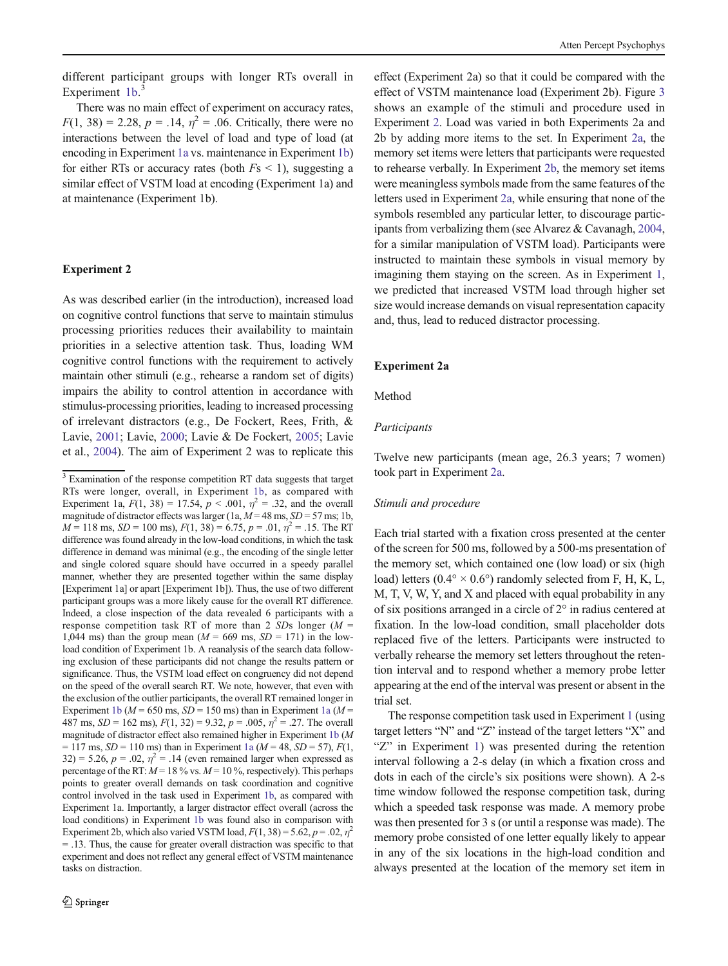<span id="page-5-0"></span>different participant groups with longer RTs overall in Experiment [1b.](#page-4-0)<sup>3</sup>

There was no main effect of experiment on accuracy rates,  $F(1, 38) = 2.28$ ,  $p = .14$ ,  $\eta^2 = .06$ . Critically, there were no interactions between the level of load and type of load (at encoding in Experiment [1a](#page-2-0) vs. maintenance in Experiment [1b\)](#page-4-0) for either RTs or accuracy rates (both  $Fs < 1$ ), suggesting a similar effect of VSTM load at encoding (Experiment 1a) and at maintenance (Experiment 1b).

## Experiment 2

As was described earlier (in the introduction), increased load on cognitive control functions that serve to maintain stimulus processing priorities reduces their availability to maintain priorities in a selective attention task. Thus, loading WM cognitive control functions with the requirement to actively maintain other stimuli (e.g., rehearse a random set of digits) impairs the ability to control attention in accordance with stimulus-processing priorities, leading to increased processing of irrelevant distractors (e.g., De Fockert, Rees, Frith, & Lavie, [2001](#page-11-0); Lavie, [2000;](#page-11-0) Lavie & De Fockert, [2005](#page-11-0); Lavie et al., [2004\)](#page-11-0). The aim of Experiment 2 was to replicate this

effect (Experiment 2a) so that it could be compared with the effect of VSTM maintenance load (Experiment 2b). Figure [3](#page-6-0) shows an example of the stimuli and procedure used in Experiment 2. Load was varied in both Experiments 2a and 2b by adding more items to the set. In Experiment 2a, the memory set items were letters that participants were requested to rehearse verbally. In Experiment [2b](#page-6-0), the memory set items were meaningless symbols made from the same features of the letters used in Experiment 2a, while ensuring that none of the symbols resembled any particular letter, to discourage participants from verbalizing them (see Alvarez & Cavanagh, [2004,](#page-10-0) for a similar manipulation of VSTM load). Participants were instructed to maintain these symbols in visual memory by imagining them staying on the screen. As in Experiment [1,](#page-1-0) we predicted that increased VSTM load through higher set size would increase demands on visual representation capacity and, thus, lead to reduced distractor processing.

### Experiment 2a

Method

#### Participants

Twelve new participants (mean age, 26.3 years; 7 women) took part in Experiment 2a.

## Stimuli and procedure

Each trial started with a fixation cross presented at the center of the screen for 500 ms, followed by a 500-ms presentation of the memory set, which contained one (low load) or six (high load) letters ( $0.4^{\circ} \times 0.6^{\circ}$ ) randomly selected from F, H, K, L, M, T, V, W, Y, and X and placed with equal probability in any of six positions arranged in a circle of 2° in radius centered at fixation. In the low-load condition, small placeholder dots replaced five of the letters. Participants were instructed to verbally rehearse the memory set letters throughout the retention interval and to respond whether a memory probe letter appearing at the end of the interval was present or absent in the trial set.

The response competition task used in Experiment [1](#page-1-0) (using target letters "N" and "Z" instead of the target letters "X" and "Z" in Experiment [1\)](#page-1-0) was presented during the retention interval following a 2-s delay (in which a fixation cross and dots in each of the circle's six positions were shown). A 2-s time window followed the response competition task, during which a speeded task response was made. A memory probe was then presented for 3 s (or until a response was made). The memory probe consisted of one letter equally likely to appear in any of the six locations in the high-load condition and always presented at the location of the memory set item in

<sup>&</sup>lt;sup>3</sup> Examination of the response competition RT data suggests that target RTs were longer, overall, in Experiment [1b](#page-4-0), as compared with Experiment 1a,  $F(1, 38) = 17.54$ ,  $p < .001$ ,  $\eta^2 = .32$ , and the overall magnitude of distractor effects was larger (1a,  $M = 48$  ms,  $SD = 57$  ms; 1b,  $M = 118$  ms,  $SD = 100$  ms),  $F(1, 38) = 6.75$ ,  $p = .01$ ,  $\eta^2 = .15$ . The RT difference was found already in the low-load conditions, in which the task difference in demand was minimal (e.g., the encoding of the single letter and single colored square should have occurred in a speedy parallel manner, whether they are presented together within the same display [Experiment 1a] or apart [Experiment 1b]). Thus, the use of two different participant groups was a more likely cause for the overall RT difference. Indeed, a close inspection of the data revealed 6 participants with a response competition task RT of more than 2  $SDs$  longer ( $M =$ 1,044 ms) than the group mean  $(M = 669 \text{ ms}, SD = 171)$  in the lowload condition of Experiment 1b. A reanalysis of the search data following exclusion of these participants did not change the results pattern or significance. Thus, the VSTM load effect on congruency did not depend on the speed of the overall search RT. We note, however, that even with the exclusion of the outlier participants, the overall RT remained longer in Experiment [1b](#page-4-0) ( $M = 650$  ms,  $SD = 150$  ms) than in Experiment [1a](#page-2-0) ( $M =$ 487 ms,  $SD = 162$  ms),  $F(1, 32) = 9.32$ ,  $p = .005$ ,  $\eta^2 = .27$ . The overall magnitude of distractor effect also remained higher in Experiment [1b](#page-4-0) (M  $= 117$  ms,  $SD = 110$  ms) than in Experiment [1a](#page-2-0) ( $M = 48$ ,  $SD = 57$ ),  $F(1, 1)$  $32$ ) = 5.26,  $p = 0.02$ ,  $\eta^2 = 0.14$  (even remained larger when expressed as percentage of the RT:  $M = 18\%$  vs.  $M = 10\%$ , respectively). This perhaps points to greater overall demands on task coordination and cognitive control involved in the task used in Experiment [1b](#page-4-0), as compared with Experiment 1a. Importantly, a larger distractor effect overall (across the load conditions) in Experiment [1b](#page-4-0) was found also in comparison with Experiment 2b, which also varied VSTM load,  $F(1, 38) = 5.62$ ,  $p = .02$ ,  $\eta^2$ = .13. Thus, the cause for greater overall distraction was specific to that experiment and does not reflect any general effect of VSTM maintenance tasks on distraction.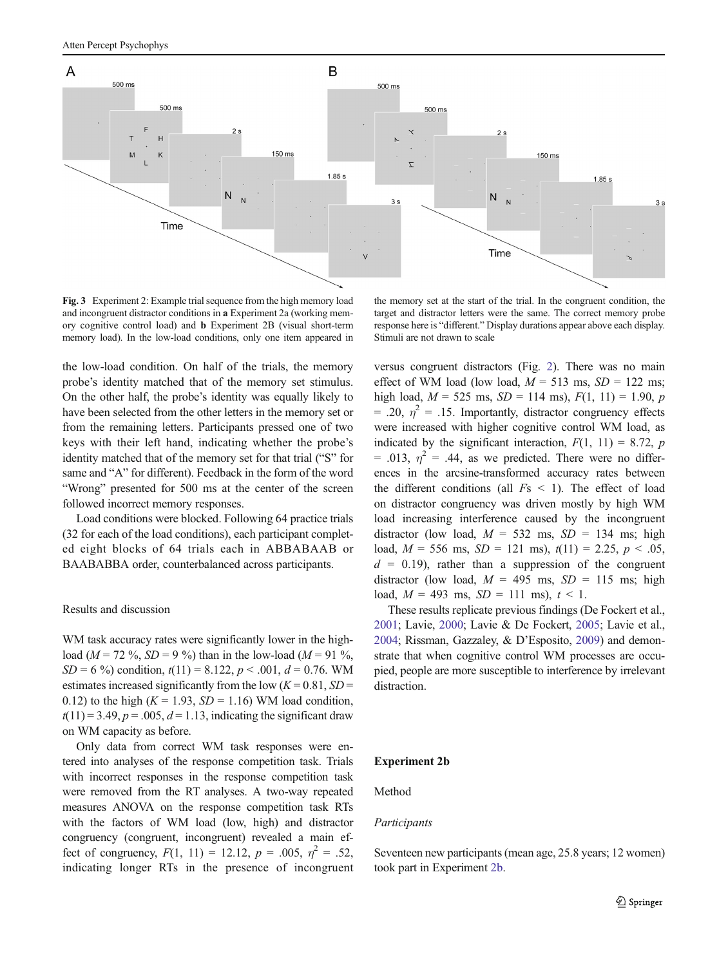<span id="page-6-0"></span>

Fig. 3 Experiment 2: Example trial sequence from the high memory load and incongruent distractor conditions in a Experiment 2a (working memory cognitive control load) and b Experiment 2B (visual short-term memory load). In the low-load conditions, only one item appeared in

the memory set at the start of the trial. In the congruent condition, the target and distractor letters were the same. The correct memory probe response here is "different." Display durations appear above each display. Stimuli are not drawn to scale

the low-load condition. On half of the trials, the memory probe's identity matched that of the memory set stimulus. On the other half, the probe's identity was equally likely to have been selected from the other letters in the memory set or from the remaining letters. Participants pressed one of two keys with their left hand, indicating whether the probe's identity matched that of the memory set for that trial ("S" for same and "A" for different). Feedback in the form of the word "Wrong" presented for 500 ms at the center of the screen followed incorrect memory responses.

Load conditions were blocked. Following 64 practice trials (32 for each of the load conditions), each participant completed eight blocks of 64 trials each in ABBABAAB or BAABABBA order, counterbalanced across participants.

## Results and discussion

WM task accuracy rates were significantly lower in the highload ( $M = 72 \%$ ,  $SD = 9 \%$ ) than in the low-load ( $M = 91 \%$ ,  $SD = 6\%$ ) condition,  $t(11) = 8.122$ ,  $p < .001$ ,  $d = 0.76$ . WM estimates increased significantly from the low  $(K = 0.81, SD =$ 0.12) to the high  $(K = 1.93, SD = 1.16)$  WM load condition,  $t(11) = 3.49, p = .005, d = 1.13$ , indicating the significant draw on WM capacity as before.

Only data from correct WM task responses were entered into analyses of the response competition task. Trials with incorrect responses in the response competition task were removed from the RT analyses. A two-way repeated measures ANOVA on the response competition task RTs with the factors of WM load (low, high) and distractor congruency (congruent, incongruent) revealed a main effect of congruency,  $F(1, 11) = 12.12$ ,  $p = .005$ ,  $\eta^2 = .52$ , indicating longer RTs in the presence of incongruent versus congruent distractors (Fig. [2](#page-3-0)). There was no main effect of WM load (low load,  $M = 513$  ms,  $SD = 122$  ms; high load,  $M = 525$  ms,  $SD = 114$  ms),  $F(1, 11) = 1.90$ , p = .20,  $\eta^2$  = .15. Importantly, distractor congruency effects were increased with higher cognitive control WM load, as indicated by the significant interaction,  $F(1, 11) = 8.72$ , p = .013,  $\eta^2$  = .44, as we predicted. There were no differences in the arcsine-transformed accuracy rates between the different conditions (all  $Fs < 1$ ). The effect of load on distractor congruency was driven mostly by high WM load increasing interference caused by the incongruent distractor (low load,  $M = 532$  ms,  $SD = 134$  ms; high load,  $M = 556$  ms,  $SD = 121$  ms),  $t(11) = 2.25$ ,  $p < .05$ ,  $d = 0.19$ , rather than a suppression of the congruent distractor (low load,  $M = 495$  ms,  $SD = 115$  ms; high load,  $M = 493$  ms,  $SD = 111$  ms),  $t < 1$ .

These results replicate previous findings (De Fockert et al., [2001;](#page-11-0) Lavie, [2000;](#page-11-0) Lavie & De Fockert, [2005;](#page-11-0) Lavie et al., [2004;](#page-11-0) Rissman, Gazzaley, & D'Esposito, [2009\)](#page-11-0) and demonstrate that when cognitive control WM processes are occupied, people are more susceptible to interference by irrelevant distraction.

#### Experiment 2b

Method

#### Participants

Seventeen new participants (mean age, 25.8 years; 12 women) took part in Experiment 2b.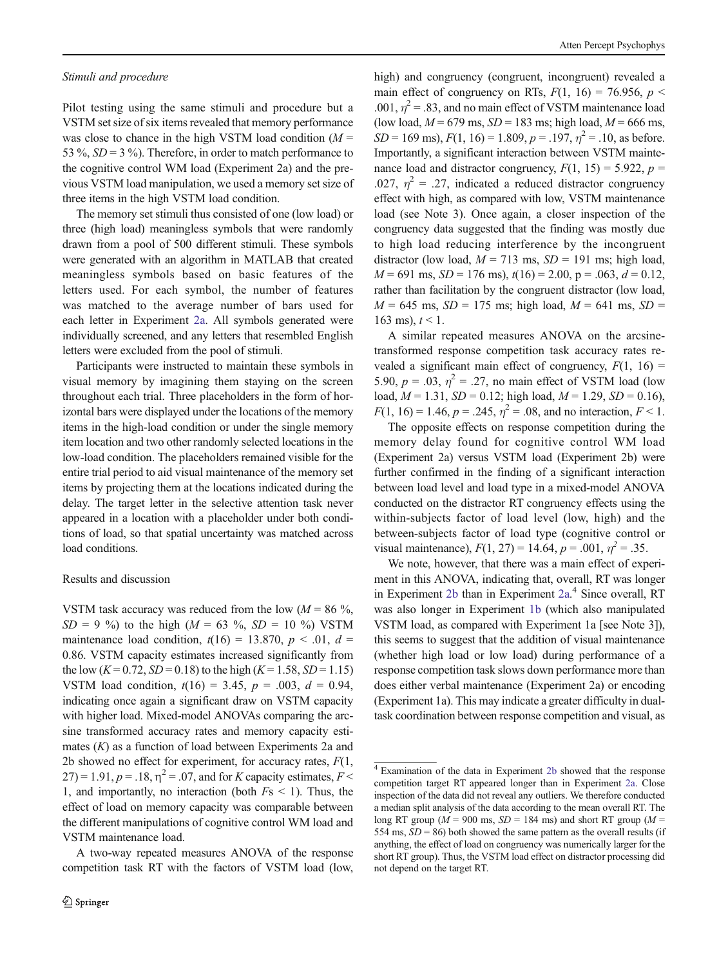#### Stimuli and procedure

Pilot testing using the same stimuli and procedure but a VSTM set size of six items revealed that memory performance was close to chance in the high VSTM load condition  $(M =$ 53 %,  $SD = 3$  %). Therefore, in order to match performance to the cognitive control WM load (Experiment 2a) and the previous VSTM load manipulation, we used a memory set size of three items in the high VSTM load condition.

The memory set stimuli thus consisted of one (low load) or three (high load) meaningless symbols that were randomly drawn from a pool of 500 different stimuli. These symbols were generated with an algorithm in MATLAB that created meaningless symbols based on basic features of the letters used. For each symbol, the number of features was matched to the average number of bars used for each letter in Experiment [2a.](#page-5-0) All symbols generated were individually screened, and any letters that resembled English letters were excluded from the pool of stimuli.

Participants were instructed to maintain these symbols in visual memory by imagining them staying on the screen throughout each trial. Three placeholders in the form of horizontal bars were displayed under the locations of the memory items in the high-load condition or under the single memory item location and two other randomly selected locations in the low-load condition. The placeholders remained visible for the entire trial period to aid visual maintenance of the memory set items by projecting them at the locations indicated during the delay. The target letter in the selective attention task never appeared in a location with a placeholder under both conditions of load, so that spatial uncertainty was matched across load conditions.

## Results and discussion

VSTM task accuracy was reduced from the low ( $M = 86 \%$ ,  $SD = 9$  %) to the high ( $M = 63$  %,  $SD = 10$  %) VSTM maintenance load condition,  $t(16) = 13.870$ ,  $p < .01$ ,  $d =$ 0.86. VSTM capacity estimates increased significantly from the low ( $K = 0.72$ ,  $SD = 0.18$ ) to the high ( $K = 1.58$ ,  $SD = 1.15$ ) VSTM load condition,  $t(16) = 3.45$ ,  $p = .003$ ,  $d = 0.94$ , indicating once again a significant draw on VSTM capacity with higher load. Mixed-model ANOVAs comparing the arcsine transformed accuracy rates and memory capacity estimates  $(K)$  as a function of load between Experiments 2a and 2b showed no effect for experiment, for accuracy rates,  $F(1, 1)$  $27$ ) = 1.91,  $p = 0.18$ ,  $\eta^2 = 0.07$ , and for K capacity estimates,  $F <$ 1, and importantly, no interaction (both  $Fs < 1$ ). Thus, the effect of load on memory capacity was comparable between the different manipulations of cognitive control WM load and VSTM maintenance load.

A two-way repeated measures ANOVA of the response competition task RT with the factors of VSTM load (low,

high) and congruency (congruent, incongruent) revealed a main effect of congruency on RTs,  $F(1, 16) = 76.956$ ,  $p <$ .001,  $\eta^2$  = .83, and no main effect of VSTM maintenance load (low load,  $M = 679$  ms,  $SD = 183$  ms; high load,  $M = 666$  ms,  $SD = 169$  ms),  $F(1, 16) = 1.809$ ,  $p = .197$ ,  $\eta^2 = .10$ , as before. Importantly, a significant interaction between VSTM maintenance load and distractor congruency,  $F(1, 15) = 5.922$ ,  $p =$ .027,  $\eta^2 = .27$ , indicated a reduced distractor congruency effect with high, as compared with low, VSTM maintenance load (see Note 3). Once again, a closer inspection of the congruency data suggested that the finding was mostly due to high load reducing interference by the incongruent distractor (low load,  $M = 713$  ms,  $SD = 191$  ms; high load,  $M = 691$  ms,  $SD = 176$  ms),  $t(16) = 2.00$ ,  $p = .063$ ,  $d = 0.12$ , rather than facilitation by the congruent distractor (low load,  $M = 645$  ms,  $SD = 175$  ms; high load,  $M = 641$  ms,  $SD =$ 163 ms),  $t < 1$ .

A similar repeated measures ANOVA on the arcsinetransformed response competition task accuracy rates revealed a significant main effect of congruency,  $F(1, 16) =$ 5.90,  $p = .03$ ,  $\eta^2 = .27$ , no main effect of VSTM load (low load,  $M = 1.31$ ,  $SD = 0.12$ ; high load,  $M = 1.29$ ,  $SD = 0.16$ ),  $F(1, 16) = 1.46$ ,  $p = .245$ ,  $\eta^2 = .08$ , and no interaction,  $F < 1$ .

The opposite effects on response competition during the memory delay found for cognitive control WM load (Experiment 2a) versus VSTM load (Experiment 2b) were further confirmed in the finding of a significant interaction between load level and load type in a mixed-model ANOVA conducted on the distractor RT congruency effects using the within-subjects factor of load level (low, high) and the between-subjects factor of load type (cognitive control or visual maintenance),  $F(1, 27) = 14.64$ ,  $p = .001$ ,  $\eta^2 = .35$ .

We note, however, that there was a main effect of experiment in this ANOVA, indicating that, overall, RT was longer in Experiment [2b](#page-6-0) than in Experiment [2a](#page-5-0). <sup>4</sup> Since overall, RT was also longer in Experiment [1b](#page-4-0) (which also manipulated VSTM load, as compared with Experiment 1a [see Note 3]), this seems to suggest that the addition of visual maintenance (whether high load or low load) during performance of a response competition task slows down performance more than does either verbal maintenance (Experiment 2a) or encoding (Experiment 1a). This may indicate a greater difficulty in dualtask coordination between response competition and visual, as

<sup>4</sup> Examination of the data in Experiment [2b](#page-6-0) showed that the response competition target RT appeared longer than in Experiment [2a.](#page-5-0) Close inspection of the data did not reveal any outliers. We therefore conducted a median split analysis of the data according to the mean overall RT. The long RT group ( $M = 900$  ms,  $SD = 184$  ms) and short RT group ( $M =$ 554 ms,  $SD = 86$ ) both showed the same pattern as the overall results (if anything, the effect of load on congruency was numerically larger for the short RT group). Thus, the VSTM load effect on distractor processing did not depend on the target RT.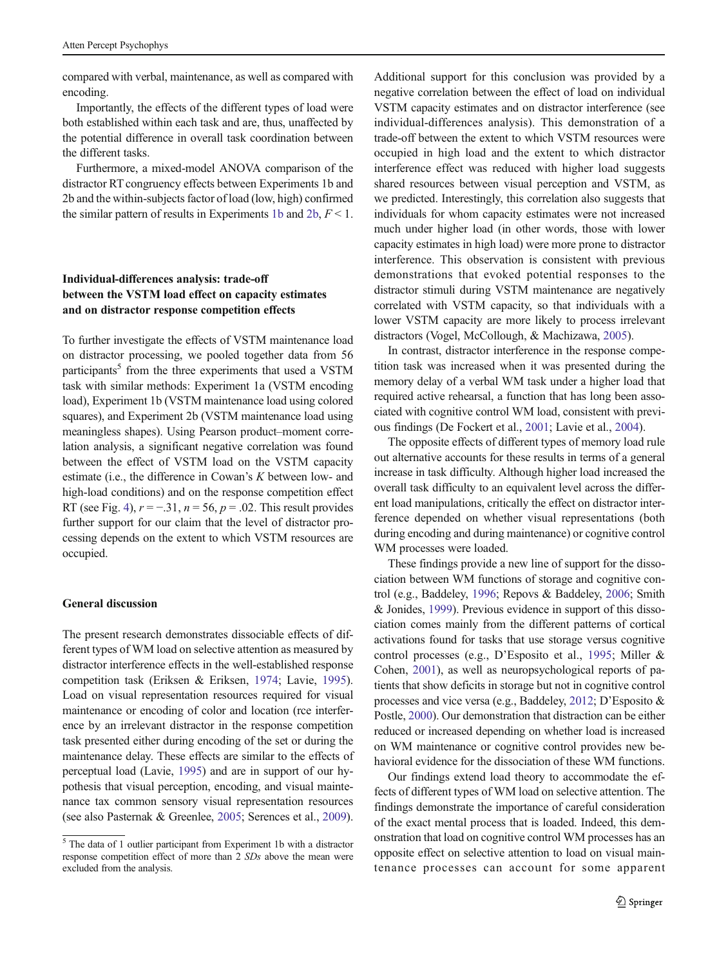compared with verbal, maintenance, as well as compared with encoding.

Importantly, the effects of the different types of load were both established within each task and are, thus, unaffected by the potential difference in overall task coordination between the different tasks.

Furthermore, a mixed-model ANOVA comparison of the distractor RT congruency effects between Experiments 1b and 2b and the within-subjects factor of load (low, high) confirmed the similar pattern of results in Experiments [1b](#page-4-0) and [2b,](#page-6-0)  $F < 1$ .

## Individual-differences analysis: trade-off between the VSTM load effect on capacity estimates and on distractor response competition effects

To further investigate the effects of VSTM maintenance load on distractor processing, we pooled together data from 56 participants<sup>5</sup> from the three experiments that used a VSTM task with similar methods: Experiment 1a (VSTM encoding load), Experiment 1b (VSTM maintenance load using colored squares), and Experiment 2b (VSTM maintenance load using meaningless shapes). Using Pearson product–moment correlation analysis, a significant negative correlation was found between the effect of VSTM load on the VSTM capacity estimate (i.e., the difference in Cowan's K between low- and high-load conditions) and on the response competition effect RT (see Fig. [4\)](#page-9-0),  $r = -0.31$ ,  $n = 56$ ,  $p = 0.02$ . This result provides further support for our claim that the level of distractor processing depends on the extent to which VSTM resources are occupied.

## General discussion

The present research demonstrates dissociable effects of different types of WM load on selective attention as measured by distractor interference effects in the well-established response competition task (Eriksen & Eriksen, [1974;](#page-11-0) Lavie, [1995](#page-11-0)). Load on visual representation resources required for visual maintenance or encoding of color and location (rce interference by an irrelevant distractor in the response competition task presented either during encoding of the set or during the maintenance delay. These effects are similar to the effects of perceptual load (Lavie, [1995](#page-11-0)) and are in support of our hypothesis that visual perception, encoding, and visual maintenance tax common sensory visual representation resources (see also Pasternak & Greenlee, [2005;](#page-11-0) Serences et al., [2009\)](#page-12-0).

Additional support for this conclusion was provided by a negative correlation between the effect of load on individual VSTM capacity estimates and on distractor interference (see individual-differences analysis). This demonstration of a trade-off between the extent to which VSTM resources were occupied in high load and the extent to which distractor interference effect was reduced with higher load suggests shared resources between visual perception and VSTM, as we predicted. Interestingly, this correlation also suggests that individuals for whom capacity estimates were not increased much under higher load (in other words, those with lower capacity estimates in high load) were more prone to distractor interference. This observation is consistent with previous demonstrations that evoked potential responses to the distractor stimuli during VSTM maintenance are negatively correlated with VSTM capacity, so that individuals with a lower VSTM capacity are more likely to process irrelevant distractors (Vogel, McCollough, & Machizawa, [2005](#page-12-0)).

In contrast, distractor interference in the response competition task was increased when it was presented during the memory delay of a verbal WM task under a higher load that required active rehearsal, a function that has long been associated with cognitive control WM load, consistent with previous findings (De Fockert et al., [2001](#page-11-0); Lavie et al., [2004\)](#page-11-0).

The opposite effects of different types of memory load rule out alternative accounts for these results in terms of a general increase in task difficulty. Although higher load increased the overall task difficulty to an equivalent level across the different load manipulations, critically the effect on distractor interference depended on whether visual representations (both during encoding and during maintenance) or cognitive control WM processes were loaded.

These findings provide a new line of support for the dissociation between WM functions of storage and cognitive control (e.g., Baddeley, [1996;](#page-10-0) Repovs & Baddeley, [2006](#page-11-0); Smith & Jonides, [1999](#page-12-0)). Previous evidence in support of this dissociation comes mainly from the different patterns of cortical activations found for tasks that use storage versus cognitive control processes (e.g., D'Esposito et al., [1995;](#page-11-0) Miller & Cohen, [2001](#page-11-0)), as well as neuropsychological reports of patients that show deficits in storage but not in cognitive control processes and vice versa (e.g., Baddeley, [2012;](#page-11-0) D'Esposito & Postle, [2000\)](#page-11-0). Our demonstration that distraction can be either reduced or increased depending on whether load is increased on WM maintenance or cognitive control provides new behavioral evidence for the dissociation of these WM functions.

Our findings extend load theory to accommodate the effects of different types of WM load on selective attention. The findings demonstrate the importance of careful consideration of the exact mental process that is loaded. Indeed, this demonstration that load on cognitive control WM processes has an opposite effect on selective attention to load on visual maintenance processes can account for some apparent

<sup>5</sup> The data of 1 outlier participant from Experiment 1b with a distractor response competition effect of more than 2 SDs above the mean were excluded from the analysis.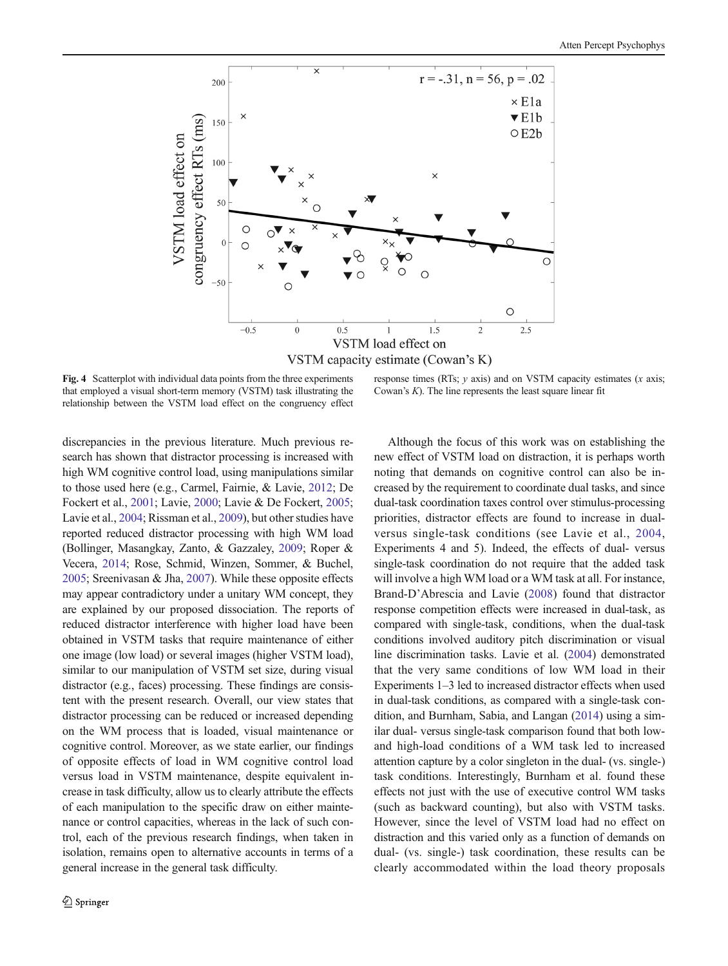<span id="page-9-0"></span>

Fig. 4 Scatterplot with individual data points from the three experiments that employed a visual short-term memory (VSTM) task illustrating the relationship between the VSTM load effect on the congruency effect

response times (RTs;  $y$  axis) and on VSTM capacity estimates ( $x$  axis; Cowan's  $K$ ). The line represents the least square linear fit

discrepancies in the previous literature. Much previous research has shown that distractor processing is increased with high WM cognitive control load, using manipulations similar to those used here (e.g., Carmel, Fairnie, & Lavie, [2012](#page-11-0); De Fockert et al., [2001](#page-11-0); Lavie, [2000](#page-11-0); Lavie & De Fockert, [2005](#page-11-0); Lavie et al., [2004;](#page-11-0) Rissman et al., [2009\)](#page-11-0), but other studies have reported reduced distractor processing with high WM load (Bollinger, Masangkay, Zanto, & Gazzaley, [2009;](#page-11-0) Roper & Vecera, [2014](#page-11-0); Rose, Schmid, Winzen, Sommer, & Buchel, [2005;](#page-11-0) Sreenivasan & Jha, [2007](#page-12-0)). While these opposite effects may appear contradictory under a unitary WM concept, they are explained by our proposed dissociation. The reports of reduced distractor interference with higher load have been obtained in VSTM tasks that require maintenance of either one image (low load) or several images (higher VSTM load), similar to our manipulation of VSTM set size, during visual distractor (e.g., faces) processing. These findings are consistent with the present research. Overall, our view states that distractor processing can be reduced or increased depending on the WM process that is loaded, visual maintenance or cognitive control. Moreover, as we state earlier, our findings of opposite effects of load in WM cognitive control load versus load in VSTM maintenance, despite equivalent increase in task difficulty, allow us to clearly attribute the effects of each manipulation to the specific draw on either maintenance or control capacities, whereas in the lack of such control, each of the previous research findings, when taken in isolation, remains open to alternative accounts in terms of a general increase in the general task difficulty.

Although the focus of this work was on establishing the new effect of VSTM load on distraction, it is perhaps worth noting that demands on cognitive control can also be increased by the requirement to coordinate dual tasks, and since dual-task coordination taxes control over stimulus-processing priorities, distractor effects are found to increase in dualversus single-task conditions (see Lavie et al., [2004,](#page-11-0) Experiments 4 and 5). Indeed, the effects of dual- versus single-task coordination do not require that the added task will involve a high WM load or a WM task at all. For instance, Brand-D'Abrescia and Lavie ([2008\)](#page-11-0) found that distractor response competition effects were increased in dual-task, as compared with single-task, conditions, when the dual-task conditions involved auditory pitch discrimination or visual line discrimination tasks. Lavie et al. ([2004\)](#page-11-0) demonstrated that the very same conditions of low WM load in their Experiments 1–3 led to increased distractor effects when used in dual-task conditions, as compared with a single-task condition, and Burnham, Sabia, and Langan ([2014](#page-11-0)) using a similar dual- versus single-task comparison found that both lowand high-load conditions of a WM task led to increased attention capture by a color singleton in the dual- (vs. single-) task conditions. Interestingly, Burnham et al. found these effects not just with the use of executive control WM tasks (such as backward counting), but also with VSTM tasks. However, since the level of VSTM load had no effect on distraction and this varied only as a function of demands on dual- (vs. single-) task coordination, these results can be clearly accommodated within the load theory proposals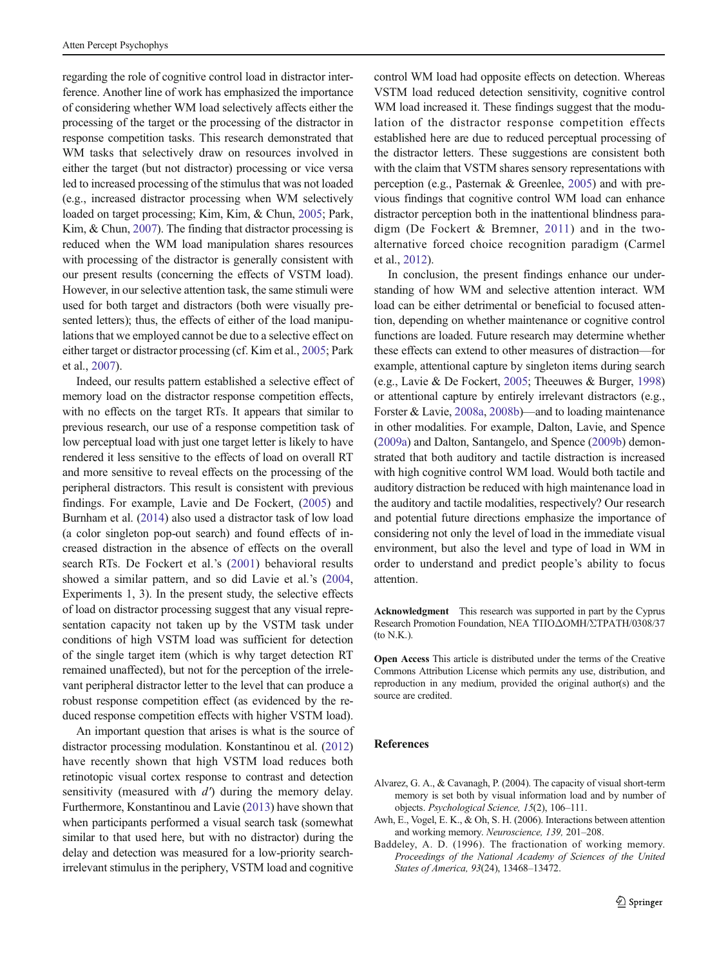<span id="page-10-0"></span>regarding the role of cognitive control load in distractor interference. Another line of work has emphasized the importance of considering whether WM load selectively affects either the processing of the target or the processing of the distractor in response competition tasks. This research demonstrated that WM tasks that selectively draw on resources involved in either the target (but not distractor) processing or vice versa led to increased processing of the stimulus that was not loaded (e.g., increased distractor processing when WM selectively loaded on target processing; Kim, Kim, & Chun, [2005;](#page-11-0) Park, Kim, & Chun, [2007](#page-11-0)). The finding that distractor processing is reduced when the WM load manipulation shares resources with processing of the distractor is generally consistent with our present results (concerning the effects of VSTM load). However, in our selective attention task, the same stimuli were used for both target and distractors (both were visually presented letters); thus, the effects of either of the load manipulations that we employed cannot be due to a selective effect on either target or distractor processing (cf. Kim et al., [2005;](#page-11-0) Park et al., [2007\)](#page-11-0).

Indeed, our results pattern established a selective effect of memory load on the distractor response competition effects, with no effects on the target RTs. It appears that similar to previous research, our use of a response competition task of low perceptual load with just one target letter is likely to have rendered it less sensitive to the effects of load on overall RT and more sensitive to reveal effects on the processing of the peripheral distractors. This result is consistent with previous findings. For example, Lavie and De Fockert, ([2005](#page-11-0)) and Burnham et al. [\(2014\)](#page-11-0) also used a distractor task of low load (a color singleton pop-out search) and found effects of increased distraction in the absence of effects on the overall search RTs. De Fockert et al.'s [\(2001](#page-11-0)) behavioral results showed a similar pattern, and so did Lavie et al.'s ([2004,](#page-11-0) Experiments 1, 3). In the present study, the selective effects of load on distractor processing suggest that any visual representation capacity not taken up by the VSTM task under conditions of high VSTM load was sufficient for detection of the single target item (which is why target detection RT remained unaffected), but not for the perception of the irrelevant peripheral distractor letter to the level that can produce a robust response competition effect (as evidenced by the reduced response competition effects with higher VSTM load).

An important question that arises is what is the source of distractor processing modulation. Konstantinou et al. [\(2012\)](#page-11-0) have recently shown that high VSTM load reduces both retinotopic visual cortex response to contrast and detection sensitivity (measured with  $d'$ ) during the memory delay. Furthermore, Konstantinou and Lavie ([2013](#page-11-0)) have shown that when participants performed a visual search task (somewhat similar to that used here, but with no distractor) during the delay and detection was measured for a low-priority searchirrelevant stimulus in the periphery, VSTM load and cognitive

control WM load had opposite effects on detection. Whereas VSTM load reduced detection sensitivity, cognitive control WM load increased it. These findings suggest that the modulation of the distractor response competition effects established here are due to reduced perceptual processing of the distractor letters. These suggestions are consistent both with the claim that VSTM shares sensory representations with perception (e.g., Pasternak & Greenlee, [2005\)](#page-11-0) and with previous findings that cognitive control WM load can enhance distractor perception both in the inattentional blindness paradigm (De Fockert & Bremner, [2011\)](#page-11-0) and in the twoalternative forced choice recognition paradigm (Carmel et al., [2012\)](#page-11-0).

In conclusion, the present findings enhance our understanding of how WM and selective attention interact. WM load can be either detrimental or beneficial to focused attention, depending on whether maintenance or cognitive control functions are loaded. Future research may determine whether these effects can extend to other measures of distraction—for example, attentional capture by singleton items during search (e.g., Lavie & De Fockert, [2005;](#page-11-0) Theeuwes & Burger, [1998](#page-12-0)) or attentional capture by entirely irrelevant distractors (e.g., Forster & Lavie, [2008a,](#page-11-0) [2008b\)](#page-11-0)—and to loading maintenance in other modalities. For example, Dalton, Lavie, and Spence [\(2009a](#page-11-0)) and Dalton, Santangelo, and Spence [\(2009b\)](#page-11-0) demonstrated that both auditory and tactile distraction is increased with high cognitive control WM load. Would both tactile and auditory distraction be reduced with high maintenance load in the auditory and tactile modalities, respectively? Our research and potential future directions emphasize the importance of considering not only the level of load in the immediate visual environment, but also the level and type of load in WM in order to understand and predict people's ability to focus attention.

Acknowledgment This research was supported in part by the Cyprus Research Promotion Foundation, ΝΕΑ ΥΠΟΔΟΜΗ/ΣΤΡΑΤΗ/0308/37 (to N.K.).

Open Access This article is distributed under the terms of the Creative Commons Attribution License which permits any use, distribution, and reproduction in any medium, provided the original author(s) and the source are credited.

## References

- Alvarez, G. A., & Cavanagh, P. (2004). The capacity of visual short-term memory is set both by visual information load and by number of objects. Psychological Science, 15(2), 106–111.
- Awh, E., Vogel, E. K., & Oh, S. H. (2006). Interactions between attention and working memory. Neuroscience, 139, 201–208.
- Baddeley, A. D. (1996). The fractionation of working memory. Proceedings of the National Academy of Sciences of the United States of America, 93(24), 13468–13472.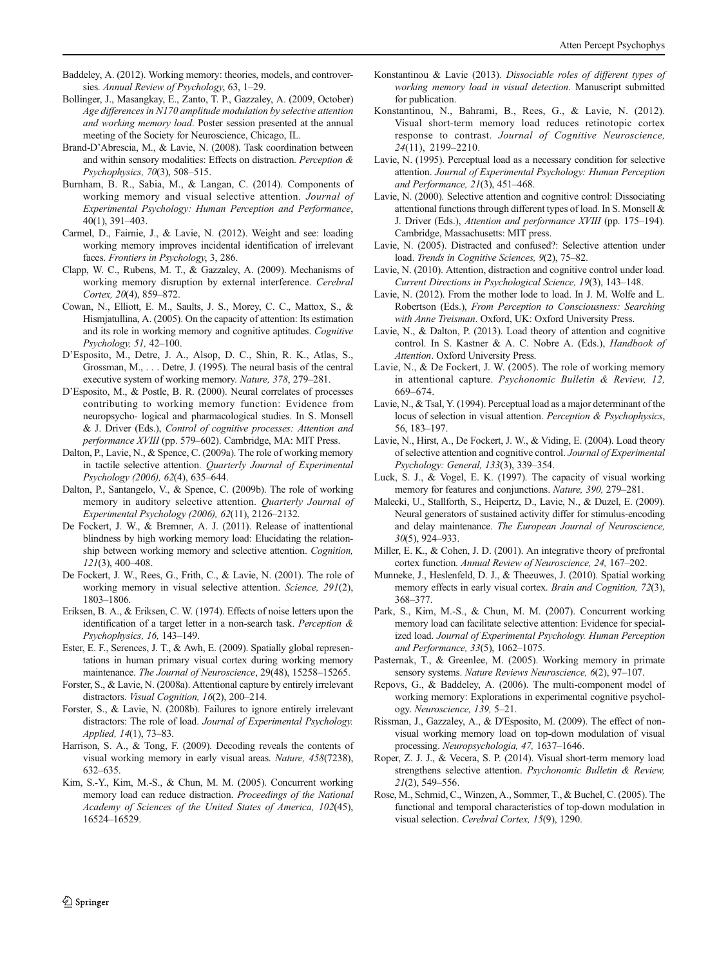- <span id="page-11-0"></span>Baddeley, A. (2012). Working memory: theories, models, and controversies. Annual Review of Psychology, 63, 1–29.
- Bollinger, J., Masangkay, E., Zanto, T. P., Gazzaley, A. (2009, October) Age differences in N170 amplitude modulation by selective attention and working memory load. Poster session presented at the annual meeting of the Society for Neuroscience, Chicago, IL.
- Brand-D'Abrescia, M., & Lavie, N. (2008). Task coordination between and within sensory modalities: Effects on distraction. Perception & Psychophysics, 70(3), 508–515.
- Burnham, B. R., Sabia, M., & Langan, C. (2014). Components of working memory and visual selective attention. Journal of Experimental Psychology: Human Perception and Performance, 40(1), 391–403.
- Carmel, D., Fairnie, J., & Lavie, N. (2012). Weight and see: loading working memory improves incidental identification of irrelevant faces. Frontiers in Psychology, 3, 286.
- Clapp, W. C., Rubens, M. T., & Gazzaley, A. (2009). Mechanisms of working memory disruption by external interference. Cerebral Cortex, 20(4), 859–872.
- Cowan, N., Elliott, E. M., Saults, J. S., Morey, C. C., Mattox, S., & Hismjatullina, A. (2005). On the capacity of attention: Its estimation and its role in working memory and cognitive aptitudes. Cognitive Psychology, 51, 42–100.
- D'Esposito, M., Detre, J. A., Alsop, D. C., Shin, R. K., Atlas, S., Grossman, M., . . . Detre, J. (1995). The neural basis of the central executive system of working memory. Nature, 378, 279–281.
- D'Esposito, M., & Postle, B. R. (2000). Neural correlates of processes contributing to working memory function: Evidence from neuropsycho- logical and pharmacological studies. In S. Monsell & J. Driver (Eds.), Control of cognitive processes: Attention and performance XVIII (pp. 579–602). Cambridge, MA: MIT Press.
- Dalton, P., Lavie, N., & Spence, C. (2009a). The role of working memory in tactile selective attention. Quarterly Journal of Experimental Psychology (2006), 62(4), 635–644.
- Dalton, P., Santangelo, V., & Spence, C. (2009b). The role of working memory in auditory selective attention. Quarterly Journal of Experimental Psychology (2006), 62(11), 2126–2132.
- De Fockert, J. W., & Bremner, A. J. (2011). Release of inattentional blindness by high working memory load: Elucidating the relationship between working memory and selective attention. Cognition, 121(3), 400–408.
- De Fockert, J. W., Rees, G., Frith, C., & Lavie, N. (2001). The role of working memory in visual selective attention. Science, 291(2), 1803–1806.
- Eriksen, B. A., & Eriksen, C. W. (1974). Effects of noise letters upon the identification of a target letter in a non-search task. Perception & Psychophysics, 16, 143–149.
- Ester, E. F., Serences, J. T., & Awh, E. (2009). Spatially global representations in human primary visual cortex during working memory maintenance. The Journal of Neuroscience, 29(48), 15258–15265.
- Forster, S., & Lavie, N. (2008a). Attentional capture by entirely irrelevant distractors. Visual Cognition, 16(2), 200-214.
- Forster, S., & Lavie, N. (2008b). Failures to ignore entirely irrelevant distractors: The role of load. Journal of Experimental Psychology. Applied, 14(1), 73–83.
- Harrison, S. A., & Tong, F. (2009). Decoding reveals the contents of visual working memory in early visual areas. Nature, 458(7238), 632–635.
- Kim, S.-Y., Kim, M.-S., & Chun, M. M. (2005). Concurrent working memory load can reduce distraction. Proceedings of the National Academy of Sciences of the United States of America, 102(45), 16524–16529.
- Konstantinou & Lavie (2013). Dissociable roles of different types of working memory load in visual detection. Manuscript submitted for publication.
- Konstantinou, N., Bahrami, B., Rees, G., & Lavie, N. (2012). Visual short-term memory load reduces retinotopic cortex response to contrast. Journal of Cognitive Neuroscience, 24(11), 2199–2210.
- Lavie, N. (1995). Perceptual load as a necessary condition for selective attention. Journal of Experimental Psychology: Human Perception and Performance, 21(3), 451–468.
- Lavie, N. (2000). Selective attention and cognitive control: Dissociating attentional functions through different types of load. In S. Monsell & J. Driver (Eds.), Attention and performance XVIII (pp. 175–194). Cambridge, Massachusetts: MIT press.
- Lavie, N. (2005). Distracted and confused?: Selective attention under load. Trends in Cognitive Sciences, 9(2), 75–82.
- Lavie, N. (2010). Attention, distraction and cognitive control under load. Current Directions in Psychological Science, 19(3), 143–148.
- Lavie, N. (2012). From the mother lode to load. In J. M. Wolfe and L. Robertson (Eds.), From Perception to Consciousness: Searching with Anne Treisman. Oxford, UK: Oxford University Press.
- Lavie, N., & Dalton, P. (2013). Load theory of attention and cognitive control. In S. Kastner & A. C. Nobre A. (Eds.), Handbook of Attention. Oxford University Press.
- Lavie, N., & De Fockert, J. W. (2005). The role of working memory in attentional capture. Psychonomic Bulletin & Review, 12, 669–674.
- Lavie, N., & Tsal, Y. (1994). Perceptual load as a major determinant of the locus of selection in visual attention. Perception & Psychophysics, 56, 183–197.
- Lavie, N., Hirst, A., De Fockert, J. W., & Viding, E. (2004). Load theory of selective attention and cognitive control. Journal of Experimental Psychology: General, 133(3), 339–354.
- Luck, S. J., & Vogel, E. K. (1997). The capacity of visual working memory for features and conjunctions. Nature, 390, 279–281.
- Malecki, U., Stallforth, S., Heipertz, D., Lavie, N., & Duzel, E. (2009). Neural generators of sustained activity differ for stimulus-encoding and delay maintenance. The European Journal of Neuroscience, 30(5), 924–933.
- Miller, E. K., & Cohen, J. D. (2001). An integrative theory of prefrontal cortex function. Annual Review of Neuroscience, 24, 167–202.
- Munneke, J., Heslenfeld, D. J., & Theeuwes, J. (2010). Spatial working memory effects in early visual cortex. Brain and Cognition, 72(3), 368–377.
- Park, S., Kim, M.-S., & Chun, M. M. (2007). Concurrent working memory load can facilitate selective attention: Evidence for specialized load. Journal of Experimental Psychology. Human Perception and Performance, 33(5), 1062–1075.
- Pasternak, T., & Greenlee, M. (2005). Working memory in primate sensory systems. Nature Reviews Neuroscience, 6(2), 97-107.
- Repovs, G., & Baddeley, A. (2006). The multi-component model of working memory: Explorations in experimental cognitive psychology. Neuroscience, 139, 5–21.
- Rissman, J., Gazzaley, A., & D'Esposito, M. (2009). The effect of nonvisual working memory load on top-down modulation of visual processing. Neuropsychologia, 47, 1637–1646.
- Roper, Z. J. J., & Vecera, S. P. (2014). Visual short-term memory load strengthens selective attention. Psychonomic Bulletin & Review, 21(2), 549–556.
- Rose, M., Schmid, C., Winzen, A., Sommer, T., & Buchel, C. (2005). The functional and temporal characteristics of top-down modulation in visual selection. Cerebral Cortex, 15(9), 1290.